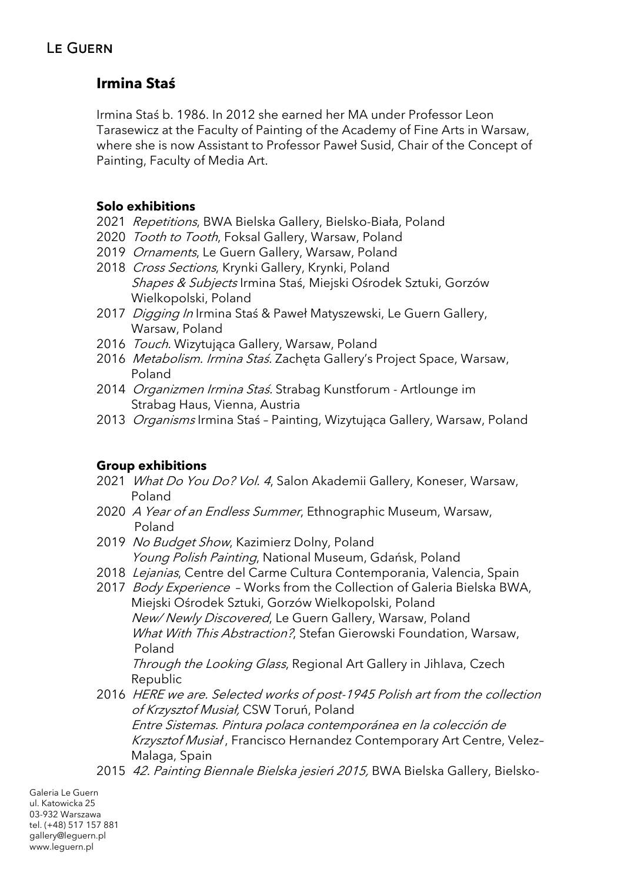# **Irmina Staś**

Irmina Staś b. 1986. In 2012 she earned her MA under Professor Leon Tarasewicz at the Faculty of Painting of the Academy of Fine Arts in Warsaw, where she is now Assistant to Professor Paweł Susid, Chair of the Concept of Painting, Faculty of Media Art.

### **Solo exhibitions**

- 2021 Repetitions, BWA Bielska Gallery, Bielsko-Biała, Poland
- 2020 *Tooth to Tooth*, Foksal Gallery, Warsaw, Poland
- 2019 Ornaments, Le Guern Gallery, Warsaw, Poland
- 2018 Cross Sections, Krynki Gallery, Krynki, Poland Shapes & Subjects Irmina Staś, Miejski Ośrodek Sztuki, Gorzów Wielkopolski, Poland
- 2017 Digging In Irmina Staś & Paweł Matyszewski, Le Guern Gallery, Warsaw, Poland
- 2016 Touch. Wizytująca Gallery, Warsaw, Poland
- 2016 Metabolism. Irmina Staś. Zachęta Gallery's Project Space, Warsaw, Poland
- 2014 Organizmen Irmina Staś. Strabag Kunstforum Artlounge im Strabag Haus, Vienna, Austria
- 2013 Organisms Irmina Staś Painting, Wizytująca Gallery, Warsaw, Poland

## **Group exhibitions**

- 2021 What Do You Do? Vol. 4, Salon Akademii Gallery, Koneser, Warsaw, Poland
- 2020 A Year of an Endless Summer, Ethnographic Museum, Warsaw, Poland
- 2019 No Budget Show, Kazimierz Dolny, Poland Young Polish Painting, National Museum, Gdańsk, Poland
- 2018 Lejanias, Centre del Carme Cultura Contemporania, Valencia, Spain
- 2017 Body Experience Works from the Collection of Galeria Bielska BWA, Miejski Ośrodek Sztuki, Gorzów Wielkopolski, Poland New/ Newly Discovered, Le Guern Gallery, Warsaw, Poland What With This Abstraction?, Stefan Gierowski Foundation, Warsaw, Poland

Through the Looking Glass, Regional Art Gallery in Jihlava, Czech Republic

- 2016 HERE we are. Selected works of post-1945 Polish art from the collection of Krzysztof Musiał, CSW Toruń, Poland Entre Sistemas. Pintura polaca contemporánea en la colección de Krzysztof Musiał , Francisco Hernandez Contemporary Art Centre, Velez– Malaga, Spain
- 2015 42. Painting Biennale Bielska jesień 2015, BWA Bielska Gallery, Bielsko-

Galeria Le Guern ul. Katowicka 25 03-932 Warszawa tel. (+48) 517 157 881 gallery@leguern.pl www.leguern.pl